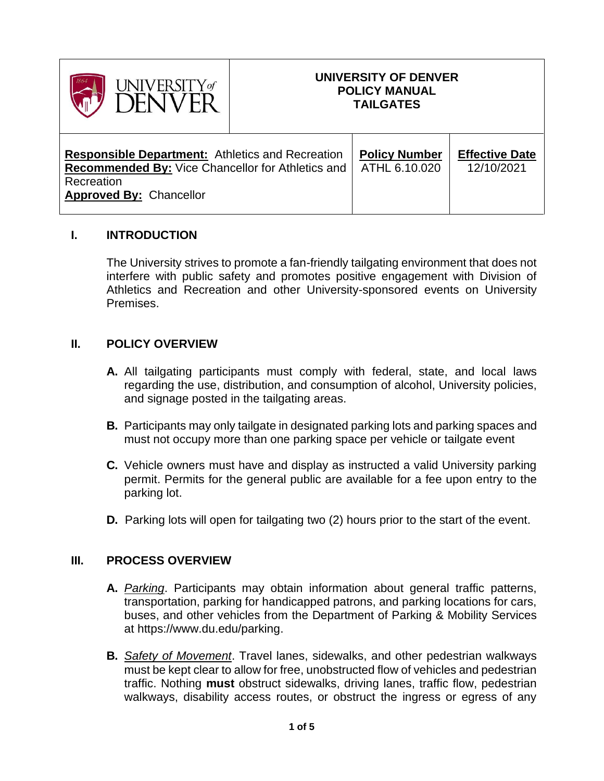

# **UNIVERSITY OF DENVER POLICY MANUAL TAILGATES**

| <b>Responsible Department:</b> Athletics and Recreation  | <b>Policy Number</b> | <b>Effective Date</b> |
|----------------------------------------------------------|----------------------|-----------------------|
| <b>Recommended By: Vice Chancellor for Athletics and</b> | ATHL 6.10.020        | 12/10/2021            |
| Recreation<br><b>Approved By: Chancellor</b>             |                      |                       |

## **I. INTRODUCTION**

The University strives to promote a fan-friendly tailgating environment that does not interfere with public safety and promotes positive engagement with Division of Athletics and Recreation and other University-sponsored events on University Premises.

## **II. POLICY OVERVIEW**

- **A.** All tailgating participants must comply with federal, state, and local laws regarding the use, distribution, and consumption of alcohol, University policies, and signage posted in the tailgating areas.
- **B.** Participants may only tailgate in designated parking lots and parking spaces and must not occupy more than one parking space per vehicle or tailgate event
- **C.** Vehicle owners must have and display as instructed a valid University parking permit. Permits for the general public are available for a fee upon entry to the parking lot.
- **D.** Parking lots will open for tailgating two (2) hours prior to the start of the event.

#### **III. PROCESS OVERVIEW**

- **A.** *Parking*. Participants may obtain information about general traffic patterns, transportation, parking for handicapped patrons, and parking locations for cars, buses, and other vehicles from the Department of Parking & Mobility Services at https://www.du.edu/parking.
- **B.** *Safety of Movement*. Travel lanes, sidewalks, and other pedestrian walkways must be kept clear to allow for free, unobstructed flow of vehicles and pedestrian traffic. Nothing **must** obstruct sidewalks, driving lanes, traffic flow, pedestrian walkways, disability access routes, or obstruct the ingress or egress of any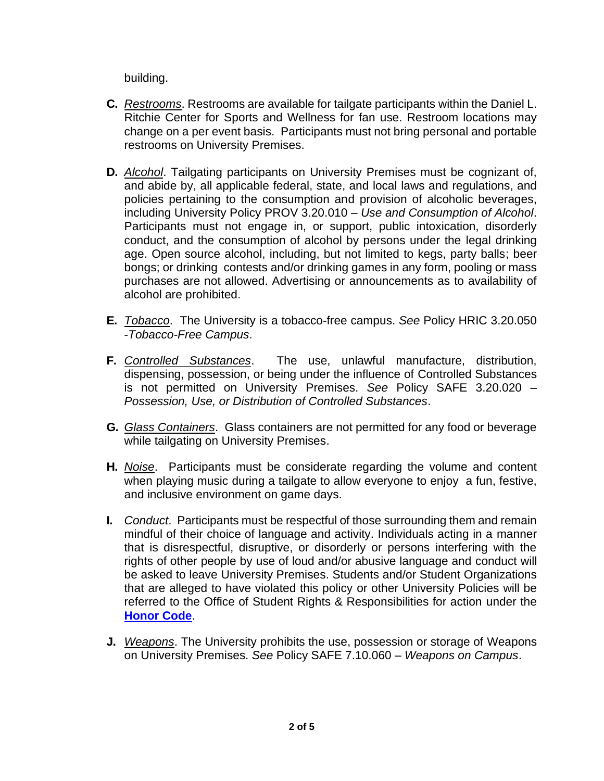building.

- **C.** *Restrooms*. Restrooms are available for tailgate participants within the Daniel L. Ritchie Center for Sports and Wellness for fan use. Restroom locations may change on a per event basis. Participants must not bring personal and portable restrooms on University Premises.
- **D.** *Alcohol*. Tailgating participants on University Premises must be cognizant of, and abide by, all applicable federal, state, and local laws and regulations, and policies pertaining to the consumption and provision of alcoholic beverages, including University Policy PROV 3.20.010 – *Use and Consumption of Alcohol*. Participants must not engage in, or support, public intoxication, disorderly conduct, and the consumption of alcohol by persons under the legal drinking age. Open source alcohol, including, but not limited to kegs, party balls; beer bongs; or drinking contests and/or drinking games in any form, pooling or mass purchases are not allowed. Advertising or announcements as to availability of alcohol are prohibited.
- **E.** *Tobacco*. The University is a tobacco-free campus. *See* Policy HRIC 3.20.050 -*Tobacco-Free Campus*.
- **F.** *Controlled Substances*. The use, unlawful manufacture, distribution, dispensing, possession, or being under the influence of Controlled Substances is not permitted on University Premises. *See* Policy SAFE 3.20.020 – *Possession, Use, or Distribution of Controlled Substances*.
- **G.** *Glass Containers*. Glass containers are not permitted for any food or beverage while tailgating on University Premises.
- **H.** *Noise*. Participants must be considerate regarding the volume and content when playing music during a tailgate to allow everyone to enjoy a fun, festive, and inclusive environment on game days.
- **I.** *Conduct*. Participants must be respectful of those surrounding them and remain mindful of their choice of language and activity. Individuals acting in a manner that is disrespectful, disruptive, or disorderly or persons interfering with the rights of other people by use of loud and/or abusive language and conduct will be asked to leave University Premises. Students and/or Student Organizations that are alleged to have violated this policy or other University Policies will be referred to the Office of Student Rights & Responsibilities for action under the **[Honor Code](https://www.du.edu/studentlife/studentconduct/media/documents/honor_code_2021-2022.pdf)**.
- **J.** *Weapons*. The University prohibits the use, possession or storage of Weapons on University Premises. *See* Policy SAFE 7.10.060 – *Weapons on Campus*.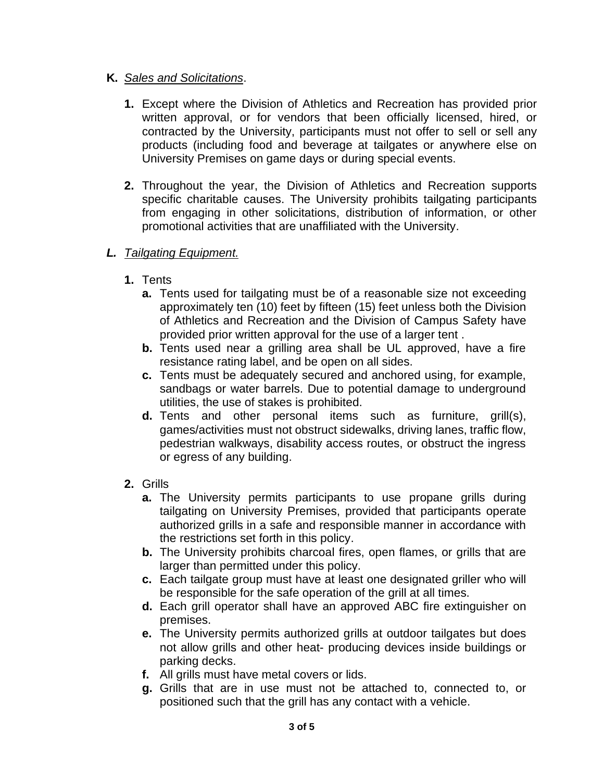## **K.** *Sales and Solicitations*.

- **1.** Except where the Division of Athletics and Recreation has provided prior written approval, or for vendors that been officially licensed, hired, or contracted by the University, participants must not offer to sell or sell any products (including food and beverage at tailgates or anywhere else on University Premises on game days or during special events.
- **2.** Throughout the year, the Division of Athletics and Recreation supports specific charitable causes. The University prohibits tailgating participants from engaging in other solicitations, distribution of information, or other promotional activities that are unaffiliated with the University.

# *L. Tailgating Equipment.*

- **1.** Tents
	- **a.** Tents used for tailgating must be of a reasonable size not exceeding approximately ten (10) feet by fifteen (15) feet unless both the Division of Athletics and Recreation and the Division of Campus Safety have provided prior written approval for the use of a larger tent .
	- **b.** Tents used near a grilling area shall be UL approved, have a fire resistance rating label, and be open on all sides.
	- **c.** Tents must be adequately secured and anchored using, for example, sandbags or water barrels. Due to potential damage to underground utilities, the use of stakes is prohibited.
	- **d.** Tents and other personal items such as furniture, grill(s), games/activities must not obstruct sidewalks, driving lanes, traffic flow, pedestrian walkways, disability access routes, or obstruct the ingress or egress of any building.
- **2.** Grills
	- **a.** The University permits participants to use propane grills during tailgating on University Premises, provided that participants operate authorized grills in a safe and responsible manner in accordance with the restrictions set forth in this policy.
	- **b.** The University prohibits charcoal fires, open flames, or grills that are larger than permitted under this policy.
	- **c.** Each tailgate group must have at least one designated griller who will be responsible for the safe operation of the grill at all times.
	- **d.** Each grill operator shall have an approved ABC fire extinguisher on premises.
	- **e.** The University permits authorized grills at outdoor tailgates but does not allow grills and other heat- producing devices inside buildings or parking decks.
	- **f.** All grills must have metal covers or lids.
	- **g.** Grills that are in use must not be attached to, connected to, or positioned such that the grill has any contact with a vehicle.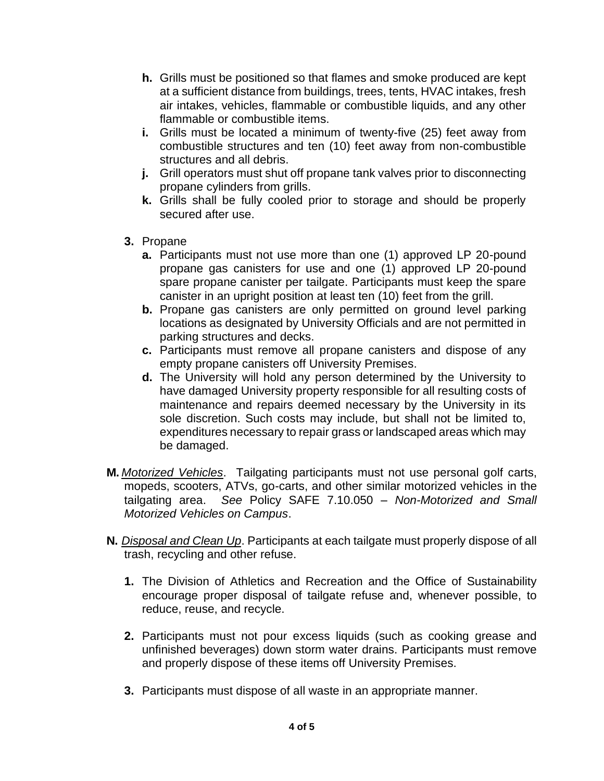- **h.** Grills must be positioned so that flames and smoke produced are kept at a sufficient distance from buildings, trees, tents, HVAC intakes, fresh air intakes, vehicles, flammable or combustible liquids, and any other flammable or combustible items.
- **i.** Grills must be located a minimum of twenty-five (25) feet away from combustible structures and ten (10) feet away from non-combustible structures and all debris.
- **j.** Grill operators must shut off propane tank valves prior to disconnecting propane cylinders from grills.
- **k.** Grills shall be fully cooled prior to storage and should be properly secured after use.
- **3.** Propane
	- **a.** Participants must not use more than one (1) approved LP 20-pound propane gas canisters for use and one (1) approved LP 20-pound spare propane canister per tailgate. Participants must keep the spare canister in an upright position at least ten (10) feet from the grill.
	- **b.** Propane gas canisters are only permitted on ground level parking locations as designated by University Officials and are not permitted in parking structures and decks.
	- **c.** Participants must remove all propane canisters and dispose of any empty propane canisters off University Premises.
	- **d.** The University will hold any person determined by the University to have damaged University property responsible for all resulting costs of maintenance and repairs deemed necessary by the University in its sole discretion. Such costs may include, but shall not be limited to, expenditures necessary to repair grass or landscaped areas which may be damaged.
- **M.** *Motorized Vehicles*. Tailgating participants must not use personal golf carts, mopeds, scooters, ATVs, go-carts, and other similar motorized vehicles in the tailgating area. *See* Policy SAFE 7.10.050 – *Non-Motorized and Small Motorized Vehicles on Campus*.
- **N.** *Disposal and Clean Up*. Participants at each tailgate must properly dispose of all trash, recycling and other refuse.
	- **1.** The Division of Athletics and Recreation and the Office of Sustainability encourage proper disposal of tailgate refuse and, whenever possible, to reduce, reuse, and recycle.
	- **2.** Participants must not pour excess liquids (such as cooking grease and unfinished beverages) down storm water drains. Participants must remove and properly dispose of these items off University Premises.
	- **3.** Participants must dispose of all waste in an appropriate manner.